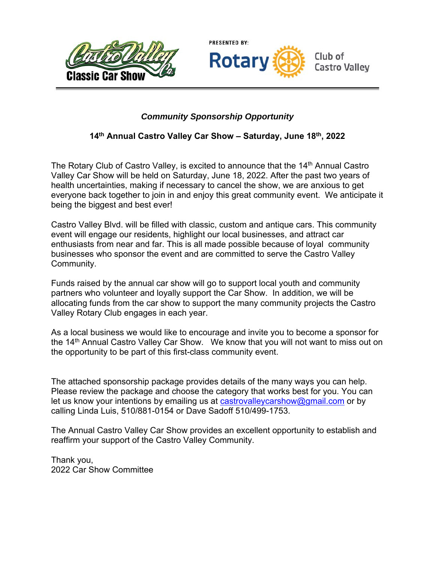



Club of **Castro Valley** 

## *Community Sponsorship Opportunity*

## **14th Annual Castro Valley Car Show – Saturday, June 18th, 2022**

The Rotary Club of Castro Valley, is excited to announce that the 14<sup>th</sup> Annual Castro Valley Car Show will be held on Saturday, June 18, 2022. After the past two years of health uncertainties, making if necessary to cancel the show, we are anxious to get everyone back together to join in and enjoy this great community event. We anticipate it being the biggest and best ever!

Castro Valley Blvd. will be filled with classic, custom and antique cars. This community event will engage our residents, highlight our local businesses, and attract car enthusiasts from near and far. This is all made possible because of loyal community businesses who sponsor the event and are committed to serve the Castro Valley Community.

Funds raised by the annual car show will go to support local youth and community partners who volunteer and loyally support the Car Show. In addition, we will be allocating funds from the car show to support the many community projects the Castro Valley Rotary Club engages in each year.

As a local business we would like to encourage and invite you to become a sponsor for the 14<sup>th</sup> Annual Castro Valley Car Show. We know that you will not want to miss out on the opportunity to be part of this first-class community event.

The attached sponsorship package provides details of the many ways you can help. Please review the package and choose the category that works best for you. You can let us know your intentions by emailing us at castrovalley carshow@gmail.com or by calling Linda Luis, 510/881-0154 or Dave Sadoff 510/499-1753.

The Annual Castro Valley Car Show provides an excellent opportunity to establish and reaffirm your support of the Castro Valley Community.

Thank you, 2022 Car Show Committee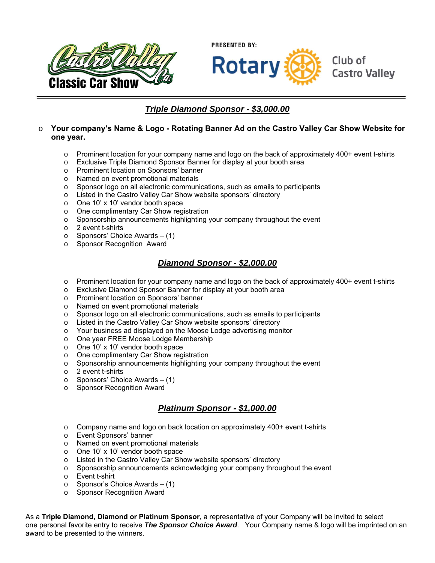



## *Triple Diamond Sponsor - \$3,000.00*

#### o **Your company's Name & Logo - Rotating Banner Ad on the Castro Valley Car Show Website for one year.**

- $\circ$  Prominent location for your company name and logo on the back of approximately 400+ event t-shirts
- o Exclusive Triple Diamond Sponsor Banner for display at your booth area
- o Prominent location on Sponsors' banner
- o Named on event promotional materials
- o Sponsor logo on all electronic communications, such as emails to participants
- o Listed in the Castro Valley Car Show website sponsors' directory
- o One 10' x 10' vendor booth space
- o One complimentary Car Show registration
- o Sponsorship announcements highlighting your company throughout the event
- o 2 event t-shirts
- o Sponsors' Choice Awards (1)
- o Sponsor Recognition Award

#### *Diamond Sponsor - \$2,000.00*

- $\circ$  Prominent location for your company name and logo on the back of approximately 400+ event t-shirts
- o Exclusive Diamond Sponsor Banner for display at your booth area
- o Prominent location on Sponsors' banner
- o Named on event promotional materials
- o Sponsor logo on all electronic communications, such as emails to participants
- o Listed in the Castro Valley Car Show website sponsors' directory
- o Your business ad displayed on the Moose Lodge advertising monitor
- o One year FREE Moose Lodge Membership
- o One 10' x 10' vendor booth space
- o One complimentary Car Show registration
- o Sponsorship announcements highlighting your company throughout the event
- o 2 event t-shirts
- $\circ$  Sponsors' Choice Awards (1)
- o Sponsor Recognition Award

#### *Platinum Sponsor - \$1,000.00*

- o Company name and logo on back location on approximately 400+ event t-shirts
- o Event Sponsors' banner
- o Named on event promotional materials
- o One 10' x 10' vendor booth space
- o Listed in the Castro Valley Car Show website sponsors' directory
- o Sponsorship announcements acknowledging your company throughout the event
- o Event t-shirt
- $\circ$  Sponsor's Choice Awards (1)
- o Sponsor Recognition Award

As a **Triple Diamond, Diamond or Platinum Sponsor**, a representative of your Company will be invited to select one personal favorite entry to receive *The Sponsor Choice Award*. Your Company name & logo will be imprinted on an award to be presented to the winners.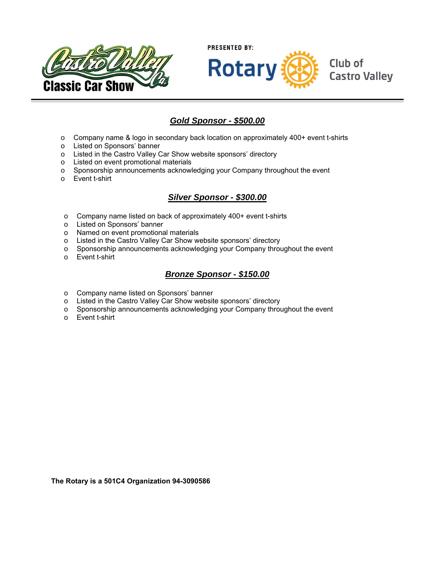



## *Gold Sponsor - \$500.00*

- o Company name & logo in secondary back location on approximately 400+ event t-shirts
- o Listed on Sponsors' banner
- o Listed in the Castro Valley Car Show website sponsors' directory
- o Listed on event promotional materials
- o Sponsorship announcements acknowledging your Company throughout the event
- o Event t-shirt

### *Silver Sponsor - \$300.00*

- o Company name listed on back of approximately 400+ event t-shirts
- o Listed on Sponsors' banner
- o Named on event promotional materials
- o Listed in the Castro Valley Car Show website sponsors' directory
- o Sponsorship announcements acknowledging your Company throughout the event
- o Event t-shirt

#### *Bronze Sponsor - \$150.00*

- o Company name listed on Sponsors' banner
- o Listed in the Castro Valley Car Show website sponsors' directory
- o Sponsorship announcements acknowledging your Company throughout the event
- o Event t-shirt

**The Rotary is a 501C4 Organization 94-3090586**